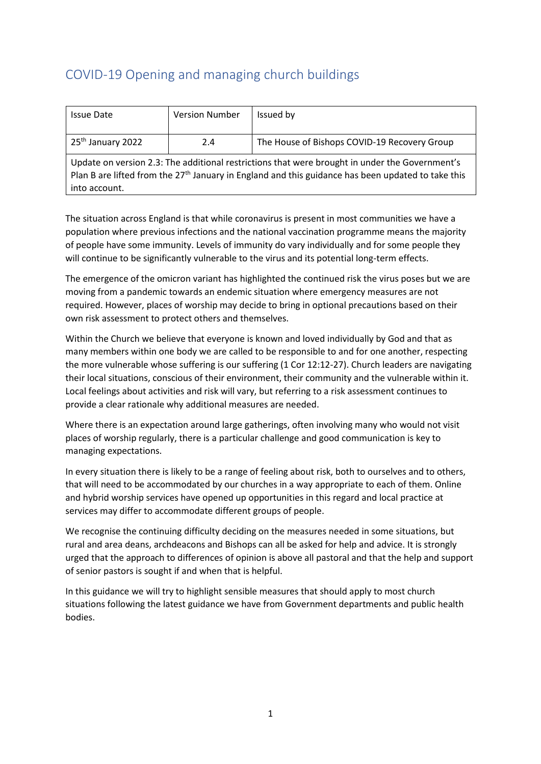# COVID-19 Opening and managing church buildings

| <b>Issue Date</b>                                                                                                                                                                                      | <b>Version Number</b> | Issued by                                    |
|--------------------------------------------------------------------------------------------------------------------------------------------------------------------------------------------------------|-----------------------|----------------------------------------------|
|                                                                                                                                                                                                        |                       |                                              |
| 25 <sup>th</sup> January 2022                                                                                                                                                                          | 2.4                   | The House of Bishops COVID-19 Recovery Group |
| Update on version 2.3: The additional restrictions that were brought in under the Government's<br>Plan B are lifted from the $27th$ January in England and this guidance has been updated to take this |                       |                                              |
| into account.                                                                                                                                                                                          |                       |                                              |

The situation across England is that while coronavirus is present in most communities we have a population where previous infections and the national vaccination programme means the majority of people have some immunity. Levels of immunity do vary individually and for some people they will continue to be significantly vulnerable to the virus and its potential long-term effects.

The emergence of the omicron variant has highlighted the continued risk the virus poses but we are moving from a pandemic towards an endemic situation where emergency measures are not required. However, places of worship may decide to bring in optional precautions based on their own risk assessment to protect others and themselves.

Within the Church we believe that everyone is known and loved individually by God and that as many members within one body we are called to be responsible to and for one another, respecting the more vulnerable whose suffering is our suffering (1 Cor 12:12-27). Church leaders are navigating their local situations, conscious of their environment, their community and the vulnerable within it. Local feelings about activities and risk will vary, but referring to a risk assessment continues to provide a clear rationale why additional measures are needed.

Where there is an expectation around large gatherings, often involving many who would not visit places of worship regularly, there is a particular challenge and good communication is key to managing expectations.

In every situation there is likely to be a range of feeling about risk, both to ourselves and to others, that will need to be accommodated by our churches in a way appropriate to each of them. Online and hybrid worship services have opened up opportunities in this regard and local practice at services may differ to accommodate different groups of people.

We recognise the continuing difficulty deciding on the measures needed in some situations, but rural and area deans, archdeacons and Bishops can all be asked for help and advice. It is strongly urged that the approach to differences of opinion is above all pastoral and that the help and support of senior pastors is sought if and when that is helpful.

In this guidance we will try to highlight sensible measures that should apply to most church situations following the latest guidance we have from Government departments and public health bodies.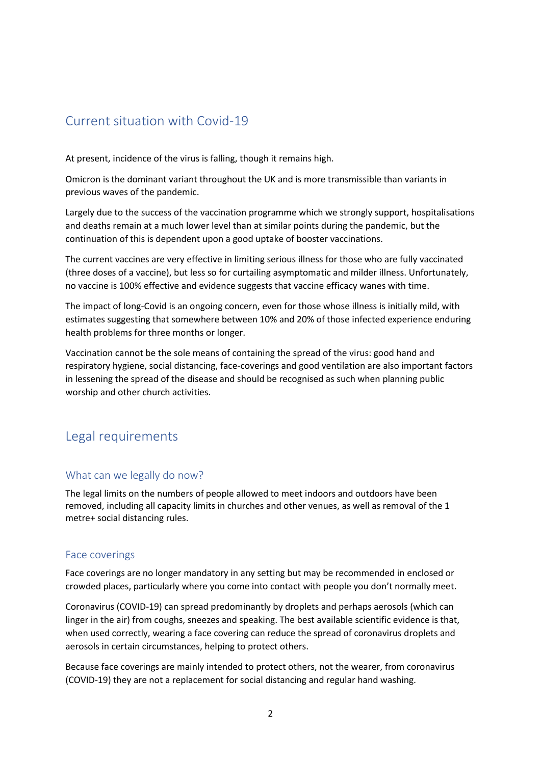# Current situation with Covid-19

At present, incidence of the virus is falling, though it remains high.

Omicron is the dominant variant throughout the UK and is more transmissible than variants in previous waves of the pandemic.

Largely due to the success of the vaccination programme which we strongly support, hospitalisations and deaths remain at a much lower level than at similar points during the pandemic, but the continuation of this is dependent upon a good uptake of booster vaccinations.

The current vaccines are very effective in limiting serious illness for those who are fully vaccinated (three doses of a vaccine), but less so for curtailing asymptomatic and milder illness. Unfortunately, no vaccine is 100% effective and evidence suggests that vaccine efficacy wanes with time.

The impact of long-Covid is an ongoing concern, even for those whose illness is initially mild, with estimates suggesting that somewhere between 10% and 20% of those infected experience enduring health problems for three months or longer.

Vaccination cannot be the sole means of containing the spread of the virus: good hand and respiratory hygiene, social distancing, face-coverings and good ventilation are also important factors in lessening the spread of the disease and should be recognised as such when planning public worship and other church activities.

## Legal requirements

## What can we legally do now?

The legal limits on the numbers of people allowed to meet indoors and outdoors have been removed, including all capacity limits in churches and other venues, as well as removal of the 1 metre+ social distancing rules.

## Face coverings

Face coverings are no longer mandatory in any setting but may be recommended in enclosed or crowded places, particularly where you come into contact with people you don't normally meet.

Coronavirus (COVID-19) can spread predominantly by droplets and perhaps aerosols (which can linger in the air) from coughs, sneezes and speaking. The best available scientific evidence is that, when used correctly, wearing a face covering can reduce the spread of coronavirus droplets and aerosols in certain circumstances, helping to protect others.

Because face coverings are mainly intended to protect others, not the wearer, from coronavirus (COVID-19) they are not a replacement for social distancing and regular hand washing.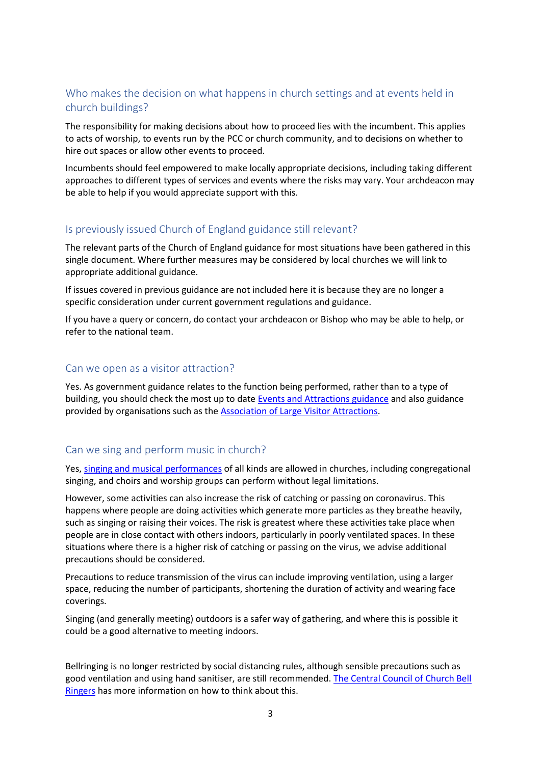## Who makes the decision on what happens in church settings and at events held in church buildings?

The responsibility for making decisions about how to proceed lies with the incumbent. This applies to acts of worship, to events run by the PCC or church community, and to decisions on whether to hire out spaces or allow other events to proceed.

Incumbents should feel empowered to make locally appropriate decisions, including taking different approaches to different types of services and events where the risks may vary. Your archdeacon may be able to help if you would appreciate support with this.

## Is previously issued Church of England guidance still relevant?

The relevant parts of the Church of England guidance for most situations have been gathered in this single document. Where further measures may be considered by local churches we will link to appropriate additional guidance.

If issues covered in previous guidance are not included here it is because they are no longer a specific consideration under current government regulations and guidance.

If you have a query or concern, do contact your archdeacon or Bishop who may be able to help, or refer to the national team.

## Can we open as a visitor attraction?

Yes. As government guidance relates to the function being performed, rather than to a type of building, you should check the most up to date [Events and Attractions guidance](https://www.gov.uk/guidance/working-safely-during-covid-19/events-and-attractions) and also guidance provided by organisations such as th[e Association of Large Visitor Attractions.](https://www.alva.org.uk/index.cfm)

## Can we sing and perform music in church?

Yes, singing [and musical performances](https://www.gov.uk/guidance/working-safely-during-covid-19/events-and-attractions) of all kinds are allowed in churches, including congregational singing, and choirs and worship groups can perform without legal limitations.

However, some activities can also increase the risk of catching or passing on coronavirus. This happens where people are doing activities which generate more particles as they breathe heavily, such as singing or raising their voices. The risk is greatest where these activities take place when people are in close contact with others indoors, particularly in poorly ventilated spaces. In these situations where there is a higher risk of catching or passing on the virus, we advise additional precautions should be considered.

Precautions to reduce transmission of the virus can include improving ventilation, using a larger space, reducing the number of participants, shortening the duration of activity and wearing face coverings.

Singing (and generally meeting) outdoors is a safer way of gathering, and where this is possible it could be a good alternative to meeting indoors.

Bellringing is no longer restricted by social distancing rules, although sensible precautions such as good ventilation and using hand sanitiser, are still recommended. [The Central Council of Church Bell](https://cccbr.org.uk/)  [Ringers](https://cccbr.org.uk/) has more information on how to think about this.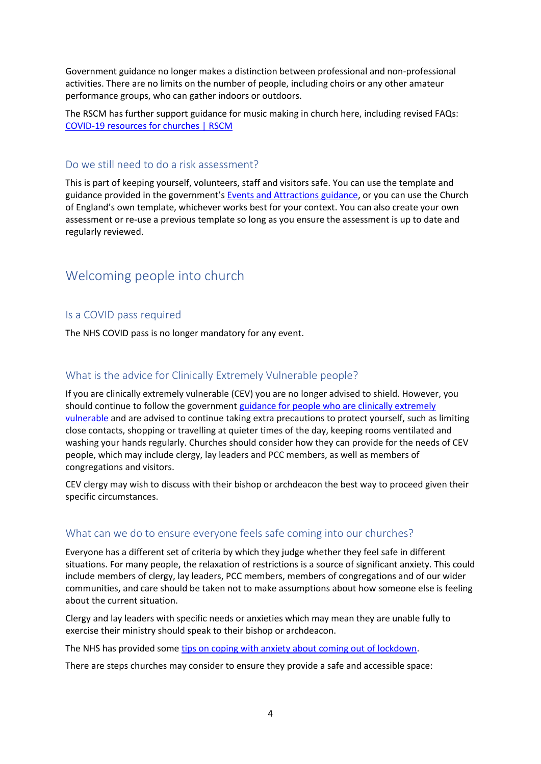Government guidance no longer makes a distinction between professional and non-professional activities. There are no limits on the number of people, including choirs or any other amateur performance groups, who can gather indoors or outdoors.

The RSCM has further support guidance for music making in church here, including revised FAQs: [COVID-19 resources for churches | RSCM](https://eur02.safelinks.protection.outlook.com/?url=https%3A%2F%2Fwww.rscm.org.uk%2Fcovid-19-resources-for-churches%2F%3Fhighlight%3Dcovid&data=04%7C01%7Cmark.betson%40churchofengland.org%7Cbb3f1a185487407bf55708d9483eb231%7C95e2463b3ab047b49ac1587c77ee84f0%7C0%7C0%7C637620256411945495%7CUnknown%7CTWFpbGZsb3d8eyJWIjoiMC4wLjAwMDAiLCJQIjoiV2luMzIiLCJBTiI6Ik1haWwiLCJXVCI6Mn0%3D%7C1000&sdata=Umb%2FqBvmldcFqn%2FKIEUqCMjziSLldnEgag7zS3kInGI%3D&reserved=0)

#### Do we still need to do a risk assessment?

This is part of keeping yourself, volunteers, staff and visitors safe. You can use the template and guidance provided in the government's [Events and Attractions guidance,](https://www.gov.uk/guidance/working-safely-during-covid-19/events-and-attractions) or you can use the Church of England's own template, whichever works best for your context. You can also create your own assessment or re-use a previous template so long as you ensure the assessment is up to date and regularly reviewed.

## Welcoming people into church

#### Is a COVID pass required

The NHS COVID pass is no longer mandatory for any event.

#### What is the advice for Clinically Extremely Vulnerable people?

If you are clinically extremely vulnerable (CEV) you are no longer advised to shield. However, you should continue to follow the government [guidance for people who are clinically extremely](https://www.gov.uk/government/publications/guidance-on-shielding-and-protecting-extremely-vulnerable-persons-from-covid-19/19-july-guidance-on-protecting-people-who-are-clinically-extremely-vulnerable-from-covid-19)  [vulnerable](https://www.gov.uk/government/publications/guidance-on-shielding-and-protecting-extremely-vulnerable-persons-from-covid-19/19-july-guidance-on-protecting-people-who-are-clinically-extremely-vulnerable-from-covid-19) and are advised to continue taking extra precautions to protect yourself, such as limiting close contacts, shopping or travelling at quieter times of the day, keeping rooms ventilated and washing your hands regularly. Churches should consider how they can provide for the needs of CEV people, which may include clergy, lay leaders and PCC members, as well as members of congregations and visitors.

CEV clergy may wish to discuss with their bishop or archdeacon the best way to proceed given their specific circumstances.

#### What can we do to ensure everyone feels safe coming into our churches?

Everyone has a different set of criteria by which they judge whether they feel safe in different situations. For many people, the relaxation of restrictions is a source of significant anxiety. This could include members of clergy, lay leaders, PCC members, members of congregations and of our wider communities, and care should be taken not to make assumptions about how someone else is feeling about the current situation.

Clergy and lay leaders with specific needs or anxieties which may mean they are unable fully to exercise their ministry should speak to their bishop or archdeacon.

The NHS has provided som[e tips on coping with anxiety about coming out](https://www.nhs.uk/every-mind-matters/coronavirus/tips-to-cope-with-anxiety-lockdown-lifting/) of lockdown.

There are steps churches may consider to ensure they provide a safe and accessible space: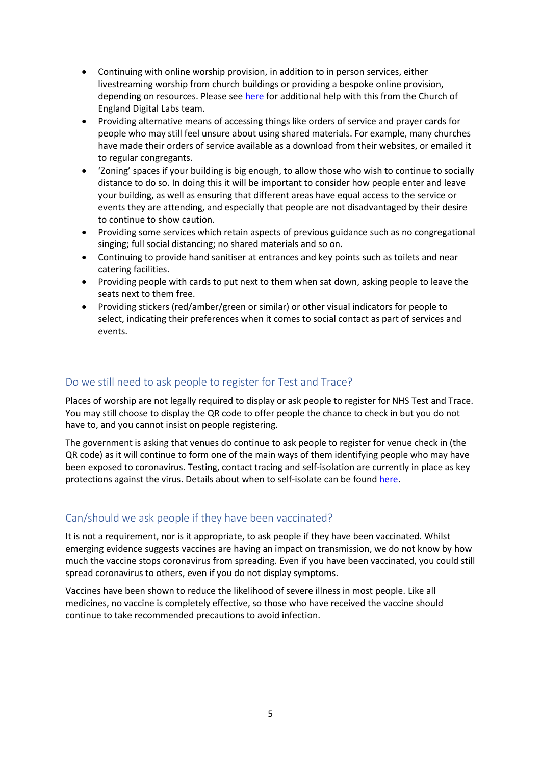- Continuing with online worship provision, in addition to in person services, either livestreaming worship from church buildings or providing a bespoke online provision, depending on resources. Please see [here](https://www.churchofengland.org/resources/church-england-digital-labs) for additional help with this from the Church of England Digital Labs team.
- Providing alternative means of accessing things like orders of service and prayer cards for people who may still feel unsure about using shared materials. For example, many churches have made their orders of service available as a download from their websites, or emailed it to regular congregants.
- 'Zoning' spaces if your building is big enough, to allow those who wish to continue to socially distance to do so. In doing this it will be important to consider how people enter and leave your building, as well as ensuring that different areas have equal access to the service or events they are attending, and especially that people are not disadvantaged by their desire to continue to show caution.
- Providing some services which retain aspects of previous guidance such as no congregational singing; full social distancing; no shared materials and so on.
- Continuing to provide hand sanitiser at entrances and key points such as toilets and near catering facilities.
- Providing people with cards to put next to them when sat down, asking people to leave the seats next to them free.
- Providing stickers (red/amber/green or similar) or other visual indicators for people to select, indicating their preferences when it comes to social contact as part of services and events.

## Do we still need to ask people to register for Test and Trace?

Places of worship are not legally required to display or ask people to register for NHS Test and Trace. You may still choose to display the QR code to offer people the chance to check in but you do not have to, and you cannot insist on people registering.

The government is asking that venues do continue to ask people to register for venue check in (the QR code) as it will continue to form one of the main ways of them identifying people who may have been exposed to coronavirus. Testing, contact tracing and self-isolation are currently in place as key protections against the virus. Details about when to self-isolate can be foun[d here.](https://www.nhs.uk/conditions/coronavirus-covid-19/self-isolation-and-treatment/)

## Can/should we ask people if they have been vaccinated?

It is not a requirement, nor is it appropriate, to ask people if they have been vaccinated. Whilst emerging evidence suggests vaccines are having an impact on transmission, we do not know by how much the vaccine stops coronavirus from spreading. Even if you have been vaccinated, you could still spread coronavirus to others, even if you do not display symptoms.

Vaccines have been shown to reduce the likelihood of severe illness in most people. Like all medicines, no vaccine is completely effective, so those who have received the vaccine should continue to take recommended precautions to avoid infection.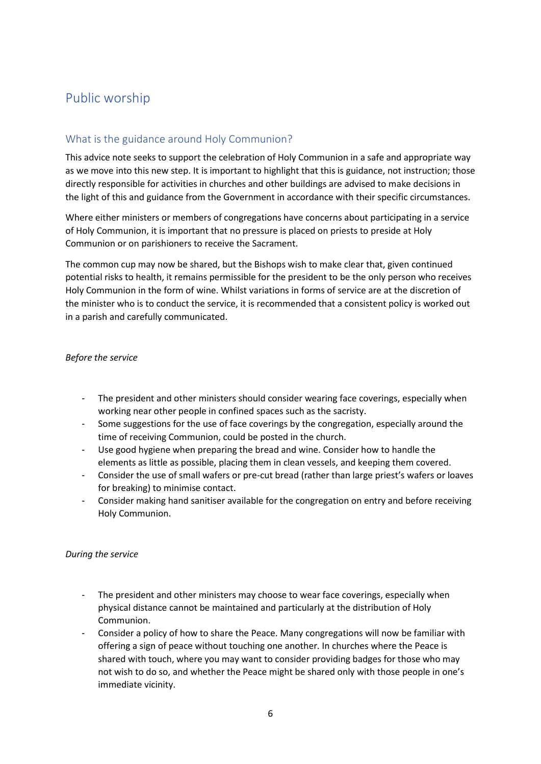# Public worship

## What is the guidance around Holy Communion?

This advice note seeks to support the celebration of Holy Communion in a safe and appropriate way as we move into this new step. It is important to highlight that this is guidance, not instruction; those directly responsible for activities in churches and other buildings are advised to make decisions in the light of this and guidance from the Government in accordance with their specific circumstances.

Where either ministers or members of congregations have concerns about participating in a service of Holy Communion, it is important that no pressure is placed on priests to preside at Holy Communion or on parishioners to receive the Sacrament.

The common cup may now be shared, but the Bishops wish to make clear that, given continued potential risks to health, it remains permissible for the president to be the only person who receives Holy Communion in the form of wine. Whilst variations in forms of service are at the discretion of the minister who is to conduct the service, it is recommended that a consistent policy is worked out in a parish and carefully communicated.

#### *Before the service*

- The president and other ministers should consider wearing face coverings, especially when working near other people in confined spaces such as the sacristy.
- Some suggestions for the use of face coverings by the congregation, especially around the time of receiving Communion, could be posted in the church.
- Use good hygiene when preparing the bread and wine. Consider how to handle the elements as little as possible, placing them in clean vessels, and keeping them covered.
- Consider the use of small wafers or pre-cut bread (rather than large priest's wafers or loaves for breaking) to minimise contact.
- Consider making hand sanitiser available for the congregation on entry and before receiving Holy Communion.

#### *During the service*

- The president and other ministers may choose to wear face coverings, especially when physical distance cannot be maintained and particularly at the distribution of Holy Communion.
- Consider a policy of how to share the Peace. Many congregations will now be familiar with offering a sign of peace without touching one another. In churches where the Peace is shared with touch, where you may want to consider providing badges for those who may not wish to do so, and whether the Peace might be shared only with those people in one's immediate vicinity.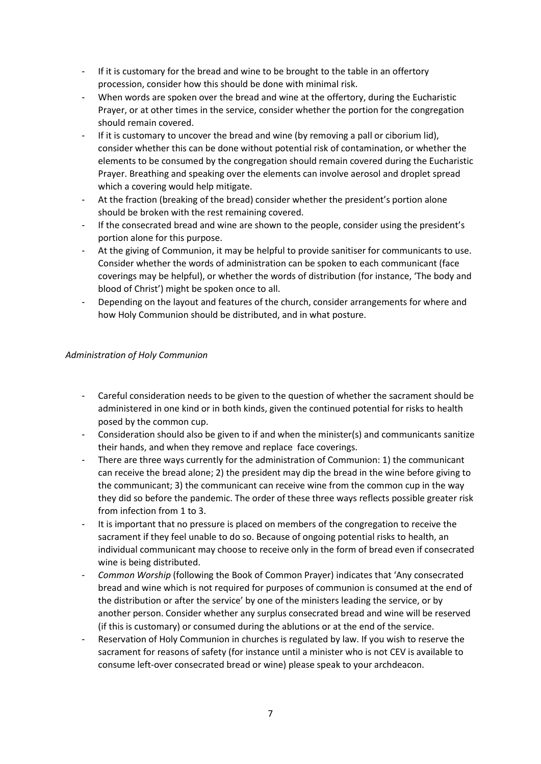- If it is customary for the bread and wine to be brought to the table in an offertory procession, consider how this should be done with minimal risk.
- When words are spoken over the bread and wine at the offertory, during the Eucharistic Prayer, or at other times in the service, consider whether the portion for the congregation should remain covered.
- If it is customary to uncover the bread and wine (by removing a pall or ciborium lid), consider whether this can be done without potential risk of contamination, or whether the elements to be consumed by the congregation should remain covered during the Eucharistic Prayer. Breathing and speaking over the elements can involve aerosol and droplet spread which a covering would help mitigate.
- At the fraction (breaking of the bread) consider whether the president's portion alone should be broken with the rest remaining covered.
- If the consecrated bread and wine are shown to the people, consider using the president's portion alone for this purpose.
- At the giving of Communion, it may be helpful to provide sanitiser for communicants to use. Consider whether the words of administration can be spoken to each communicant (face coverings may be helpful), or whether the words of distribution (for instance, 'The body and blood of Christ') might be spoken once to all.
- Depending on the layout and features of the church, consider arrangements for where and how Holy Communion should be distributed, and in what posture.

#### *Administration of Holy Communion*

- Careful consideration needs to be given to the question of whether the sacrament should be administered in one kind or in both kinds, given the continued potential for risks to health posed by the common cup.
- Consideration should also be given to if and when the minister(s) and communicants sanitize their hands, and when they remove and replace face coverings.
- There are three ways currently for the administration of Communion: 1) the communicant can receive the bread alone; 2) the president may dip the bread in the wine before giving to the communicant; 3) the communicant can receive wine from the common cup in the way they did so before the pandemic. The order of these three ways reflects possible greater risk from infection from 1 to 3.
- It is important that no pressure is placed on members of the congregation to receive the sacrament if they feel unable to do so. Because of ongoing potential risks to health, an individual communicant may choose to receive only in the form of bread even if consecrated wine is being distributed.
- *Common Worship* (following the Book of Common Prayer) indicates that 'Any consecrated bread and wine which is not required for purposes of communion is consumed at the end of the distribution or after the service' by one of the ministers leading the service, or by another person. Consider whether any surplus consecrated bread and wine will be reserved (if this is customary) or consumed during the ablutions or at the end of the service.
- Reservation of Holy Communion in churches is regulated by law. If you wish to reserve the sacrament for reasons of safety (for instance until a minister who is not CEV is available to consume left-over consecrated bread or wine) please speak to your archdeacon.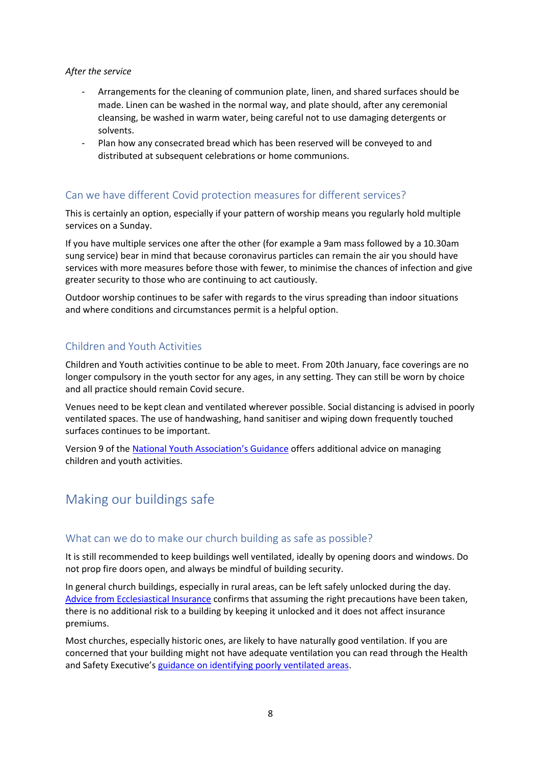#### *After the service*

- Arrangements for the cleaning of communion plate, linen, and shared surfaces should be made. Linen can be washed in the normal way, and plate should, after any ceremonial cleansing, be washed in warm water, being careful not to use damaging detergents or solvents.
- Plan how any consecrated bread which has been reserved will be conveyed to and distributed at subsequent celebrations or home communions.

## Can we have different Covid protection measures for different services?

This is certainly an option, especially if your pattern of worship means you regularly hold multiple services on a Sunday.

If you have multiple services one after the other (for example a 9am mass followed by a 10.30am sung service) bear in mind that because coronavirus particles can remain the air you should have services with more measures before those with fewer, to minimise the chances of infection and give greater security to those who are continuing to act cautiously.

Outdoor worship continues to be safer with regards to the virus spreading than indoor situations and where conditions and circumstances permit is a helpful option.

### Children and Youth Activities

Children and Youth activities continue to be able to meet. From 20th January, face coverings are no longer compulsory in the youth sector for any ages, in any setting. They can still be worn by choice and all practice should remain Covid secure.

Venues need to be kept clean and ventilated wherever possible. Social distancing is advised in poorly ventilated spaces. The use of handwashing, hand sanitiser and wiping down frequently touched surfaces continues to be important.

Version 9 of the [National Youth Association's Guidance](https://s3.eu-west-1.amazonaws.com/assets.nya2.joltrouter.net/wp-content/uploads/20211202112116/1224-NYA-COVID-19-Guidance-v9.pdf) offers additional advice on managing children and youth activities.

## Making our buildings safe

#### What can we do to make our church building as safe as possible?

It is still recommended to keep buildings well ventilated, ideally by opening doors and windows. Do not prop fire doors open, and always be mindful of building security.

In general church buildings, especially in rural areas, can be left safely unlocked during the day. Advice from [Ecclesiastical Insurance](https://www.ecclesiastical.com/risk-management/open-churches/) confirms that assuming the right precautions have been taken, there is no additional risk to a building by keeping it unlocked and it does not affect insurance premiums.

Most churches, especially historic ones, are likely to have naturally good ventilation. If you are concerned that your building might not have adequate ventilation you can read through the Health and Safety Executive's [guidance on identifying poorly ventilated areas.](https://www.hse.gov.uk/coronavirus/equipment-and-machinery/air-conditioning-and-ventilation/identifying-poorly-ventilated-areas.htm)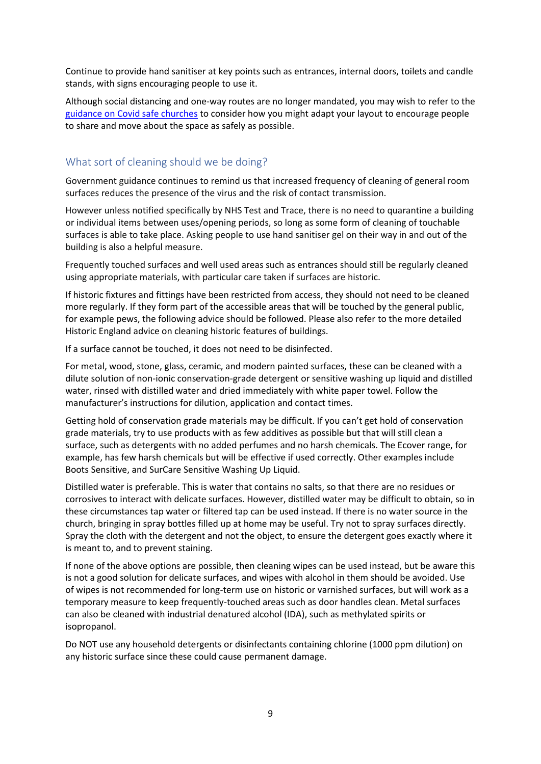Continue to provide hand sanitiser at key points such as entrances, internal doors, toilets and candle stands, with signs encouraging people to use it.

Although social distancing and one-way routes are no longer mandated, you may wish to refer to the [guidance on Covid safe churches](https://www.churchofengland.org/sites/default/files/2020-07/Covid-19%20Safer%20Churches_0.pdf) to consider how you might adapt your layout to encourage people to share and move about the space as safely as possible.

## What sort of cleaning should we be doing?

Government guidance continues to remind us that increased frequency of cleaning of general room surfaces reduces the presence of the virus and the risk of contact transmission.

However unless notified specifically by NHS Test and Trace, there is no need to quarantine a building or individual items between uses/opening periods, so long as some form of cleaning of touchable surfaces is able to take place. Asking people to use hand sanitiser gel on their way in and out of the building is also a helpful measure.

Frequently touched surfaces and well used areas such as entrances should still be regularly cleaned using appropriate materials, with particular care taken if surfaces are historic.

If historic fixtures and fittings have been restricted from access, they should not need to be cleaned more regularly. If they form part of the accessible areas that will be touched by the general public, for example pews, the following advice should be followed. Please also refer to the more detailed Historic England advice on cleaning historic features of buildings.

If a surface cannot be touched, it does not need to be disinfected.

For metal, wood, stone, glass, ceramic, and modern painted surfaces, these can be cleaned with a dilute solution of non-ionic conservation-grade detergent or sensitive washing up liquid and distilled water, rinsed with distilled water and dried immediately with white paper towel. Follow the manufacturer's instructions for dilution, application and contact times.

Getting hold of conservation grade materials may be difficult. If you can't get hold of conservation grade materials, try to use products with as few additives as possible but that will still clean a surface, such as detergents with no added perfumes and no harsh chemicals. The Ecover range, for example, has few harsh chemicals but will be effective if used correctly. Other examples include Boots Sensitive, and SurCare Sensitive Washing Up Liquid.

Distilled water is preferable. This is water that contains no salts, so that there are no residues or corrosives to interact with delicate surfaces. However, distilled water may be difficult to obtain, so in these circumstances tap water or filtered tap can be used instead. If there is no water source in the church, bringing in spray bottles filled up at home may be useful. Try not to spray surfaces directly. Spray the cloth with the detergent and not the object, to ensure the detergent goes exactly where it is meant to, and to prevent staining.

If none of the above options are possible, then cleaning wipes can be used instead, but be aware this is not a good solution for delicate surfaces, and wipes with alcohol in them should be avoided. Use of wipes is not recommended for long-term use on historic or varnished surfaces, but will work as a temporary measure to keep frequently-touched areas such as door handles clean. Metal surfaces can also be cleaned with industrial denatured alcohol (IDA), such as methylated spirits or isopropanol.

Do NOT use any household detergents or disinfectants containing chlorine (1000 ppm dilution) on any historic surface since these could cause permanent damage.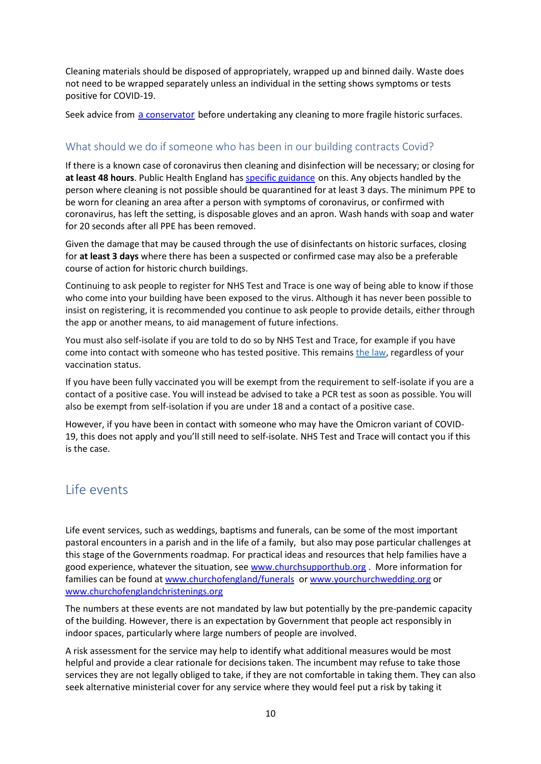Cleaning materials should be disposed of appropriately, wrapped up and binned daily. Waste does not need to be wrapped separately unless an individual in the setting shows symptoms or tests positive for COVID-19.

Seek advice from a [conservato](https://icon.org.uk/icon-resources/caring-for-your-collection)r before undertaking any cleaning to more fragile historic surfaces.

## What should we do if someone who has been in our building contracts Covid?

If there is a known case of coronavirus then cleaning and disinfection will be necessary; or closing for **at least 48 hours**. Public Health England ha[s specific guidance](https://www.gov.uk/government/publications/covid-19-decontamination-in-non-healthcare-settings/covid-19-decontamination-in-non-healthcare-settings) on this. Any objects handled by the person where cleaning is not possible should be quarantined for at least 3 days. The minimum PPE to be worn for cleaning an area after a person with symptoms of coronavirus, or confirmed with coronavirus, has left the setting, is disposable gloves and an apron. Wash hands with soap and water for 20 seconds after all PPE has been removed.

Given the damage that may be caused through the use of disinfectants on historic surfaces, closing for **at least 3 days** where there has been a suspected or confirmed case may also be a preferable course of action for historic church buildings.

Continuing to ask people to register for NHS Test and Trace is one way of being able to know if those who come into your building have been exposed to the virus. Although it has never been possible to insist on registering, it is recommended you continue to ask people to provide details, either through the app or another means, to aid management of future infections.

You must also self-isolate if you are told to do so by NHS Test and Trace, for example if you have come into contact with someone who has tested positive. This remains the [law,](https://www.legislation.gov.uk/uksi/2020/1045/made) regardless of your vaccination status.

If you have been fully vaccinated you will be exempt from the requirement to self-isolate if you are a contact of a positive case. You will instead be advised to take a PCR test as soon as possible. You will also be exempt from self-isolation if you are under 18 and a contact of a positive case.

However, if you have been in contact with someone who may have the Omicron variant of COVID-19, this does not apply and you'll still need to self-isolate. NHS Test and Trace will contact you if this is the case.

## Life events

Life event services, such as weddings, baptisms and funerals, can be some of the most important pastoral encounters in a parish and in the life of a family, but also may pose particular challenges at this stage of the Governments roadmap. For practical ideas and resources that help families have a good experience, whatever the situation, see [www.churchsupporthub.org](http://www.churchsupporthub.org/) . More information for families can be found a[t www.churchofengland/funerals](http://www.churchofengland/funerals) or [www.yourchurchwedding.org](http://www.yourchurchwedding.org/) or [www.churchofenglandchristenings.org](http://www.churchofenglandchristenings.org/)

The numbers at these events are not mandated by law but potentially by the pre-pandemic capacity of the building. However, there is an expectation by Government that people act responsibly in indoor spaces, particularly where large numbers of people are involved.

A risk assessment for the service may help to identify what additional measures would be most helpful and provide a clear rationale for decisions taken. The incumbent may refuse to take those services they are not legally obliged to take, if they are not comfortable in taking them. They can also seek alternative ministerial cover for any service where they would feel put a risk by taking it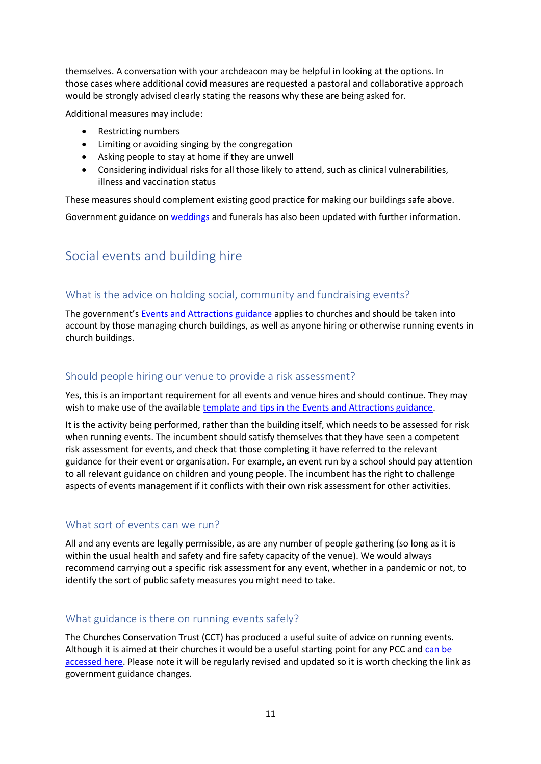themselves. A conversation with your archdeacon may be helpful in looking at the options. In those cases where additional covid measures are requested a pastoral and collaborative approach would be strongly advised clearly stating the reasons why these are being asked for.

Additional measures may include:

- Restricting numbers
- Limiting or avoiding singing by the congregation
- Asking people to stay at home if they are unwell
- Considering individual risks for all those likely to attend, such as clinical vulnerabilities, illness and vaccination status

These measures should complement existing good practice for making our buildings safe above.

Government guidance on [weddings](https://www.gov.uk/guidance/coronavirus-covid-19-wedding-and-civil-partnership-ceremonies-receptions-and-celebrations-guidance-from-step-4?utm_medium=email&utm_campaign=govuk-notifications&utm_source=5cdab0bd-155d-4109-b394-fae60d7c5bc4&utm_content=immediately#summary-of-changes-from-19-july) and funerals has also been updated with further information.

## Social events and building hire

## What is the advice on holding social, community and fundraising events?

The government's [Events and Attractions guidance](https://www.gov.uk/guidance/working-safely-during-covid-19/events-and-attractions) applies to churches and should be taken into account by those managing church buildings, as well as anyone hiring or otherwise running events in church buildings.

## Should people hiring our venue to provide a risk assessment?

Yes, this is an important requirement for all events and venue hires and should continue. They may wish to make use of the available [template and tips in the Events and Attractions guidance.](https://www.gov.uk/guidance/working-safely-during-covid-19/events-and-attractions#risk-1)

It is the activity being performed, rather than the building itself, which needs to be assessed for risk when running events. The incumbent should satisfy themselves that they have seen a competent risk assessment for events, and check that those completing it have referred to the relevant guidance for their event or organisation. For example, an event run by a school should pay attention to all relevant guidance on children and young people. The incumbent has the right to challenge aspects of events management if it conflicts with their own risk assessment for other activities.

## What sort of events can we run?

All and any events are legally permissible, as are any number of people gathering (so long as it is within the usual health and safety and fire safety capacity of the venue). We would always recommend carrying out a specific risk assessment for any event, whether in a pandemic or not, to identify the sort of public safety measures you might need to take.

## What guidance is there on running events safely?

The Churches Conservation Trust (CCT) has produced a useful suite of advice on running events. Although it is aimed at their churches it would be a useful starting point for any PCC and [can be](https://www.visitchurches.org.uk/get-involved/fundraising-toolkit/fundraising-events/planning-and-holding-events.html)  [accessed here.](https://www.visitchurches.org.uk/get-involved/fundraising-toolkit/fundraising-events/planning-and-holding-events.html) Please note it will be regularly revised and updated so it is worth checking the link as government guidance changes.